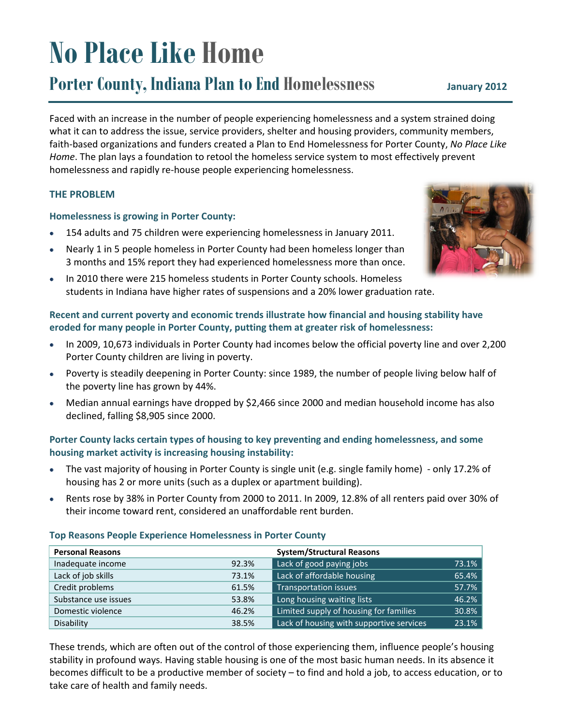# **No Place Like Home**

# **Porter County, Indiana Plan to End Homelessness**

Faced with an increase in the number of people experiencing homelessness and a system strained doing what it can to address the issue, service providers, shelter and housing providers, community members, faith-based organizations and funders created a Plan to End Homelessness for Porter County, No Place Like Home. The plan lays a foundation to retool the homeless service system to most effectively prevent homelessness and rapidly re-house people experiencing homelessness.

# **THE PROBLEM**

**Personal Reasons** 

Lack of job skills

Credit problems

Inadequate income

Substance use issues

Domestic violence

Disability

#### **Homelessness is growing in Porter County:**

- 154 adults and 75 children were experiencing homelessness in January 2011.  $\bullet$
- Nearly 1 in 5 people homeless in Porter County had been homeless longer than  $\bullet$ 3 months and 15% report they had experienced homelessness more than once.
- In 2010 there were 215 homeless students in Porter County schools. Homeless  $\bullet$ students in Indiana have higher rates of suspensions and a 20% lower graduation rate.

# Recent and current poverty and economic trends illustrate how financial and housing stability have eroded for many people in Porter County, putting them at greater risk of homelessness:

- In 2009, 10,673 individuals in Porter County had incomes below the official poverty line and over 2,200  $\bullet$ Porter County children are living in poverty.
- Poverty is steadily deepening in Porter County: since 1989, the number of people living below half of the poverty line has grown by 44%.
- Median annual earnings have dropped by \$2,466 since 2000 and median household income has also declined, falling \$8,905 since 2000.

# Porter County lacks certain types of housing to key preventing and ending homelessness, and some housing market activity is increasing housing instability:

- The vast majority of housing in Porter County is single unit (e.g. single family home) only 17.2% of  $\bullet$ housing has 2 or more units (such as a duplex or apartment building).
- Rents rose by 38% in Porter County from 2000 to 2011. In 2009, 12.8% of all renters paid over 30% of  $\bullet$ their income toward rent, considered an unaffordable rent burden.

92.3%

73.1%

61.5%

53.8%

46.2%

38.5%

**System/Structural Reasons** 

Lack of good paying jobs

**Transportation issues** 

Lack of affordable housing

Long housing waiting lists

Limited supply of housing for families

Lack of housing with supportive services

#### **Top Reasons People Experience Homelessness in Porter County**

| These trends, which are often out of the control of those experiencing them, influence people's housing     |
|-------------------------------------------------------------------------------------------------------------|
|                                                                                                             |
| stability in profound ways. Having stable housing is one of the most basic human needs. In its absence it   |
| becomes difficult to be a productive member of society – to find and hold a job, to access education, or to |
| take care of health and family needs.                                                                       |



73.1%

65.4%

57.7%

46.2%

30.8% 23.1%

#### January 2012